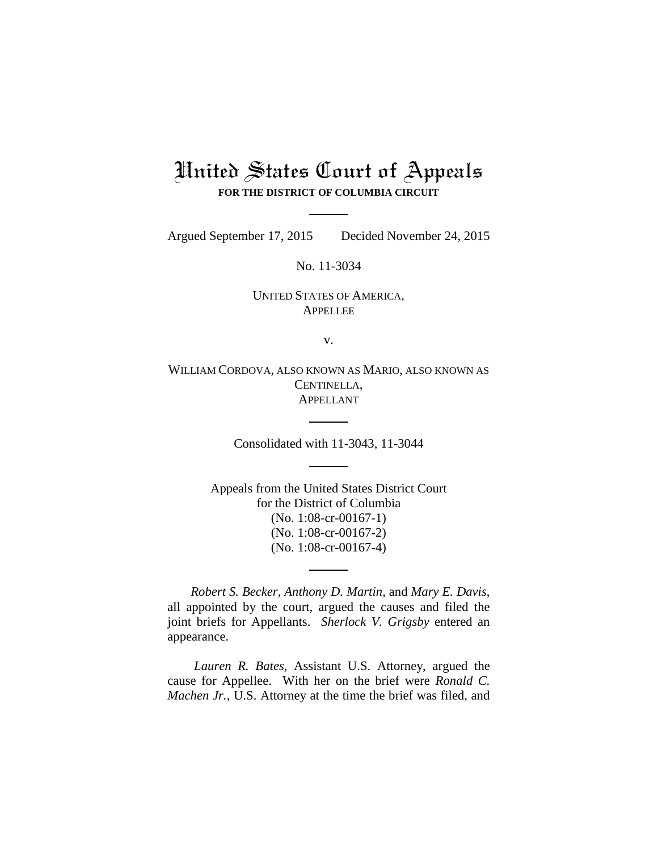# United States Court of Appeals **FOR THE DISTRICT OF COLUMBIA CIRCUIT**

Argued September 17, 2015 Decided November 24, 2015

No. 11-3034

## UNITED STATES OF AMERICA, **APPELLEE**

v.

WILLIAM CORDOVA, ALSO KNOWN AS MARIO, ALSO KNOWN AS CENTINELLA, APPELLANT

Consolidated with 11-3043, 11-3044

Appeals from the United States District Court for the District of Columbia (No. 1:08-cr-00167-1) (No. 1:08-cr-00167-2) (No. 1:08-cr-00167-4)

*Robert S. Becker*, *Anthony D. Martin*, and *Mary E. Davis*, all appointed by the court, argued the causes and filed the joint briefs for Appellants. *Sherlock V. Grigsby* entered an appearance.

*Lauren R. Bates*, Assistant U.S. Attorney, argued the cause for Appellee. With her on the brief were *Ronald C. Machen Jr.*, U.S. Attorney at the time the brief was filed, and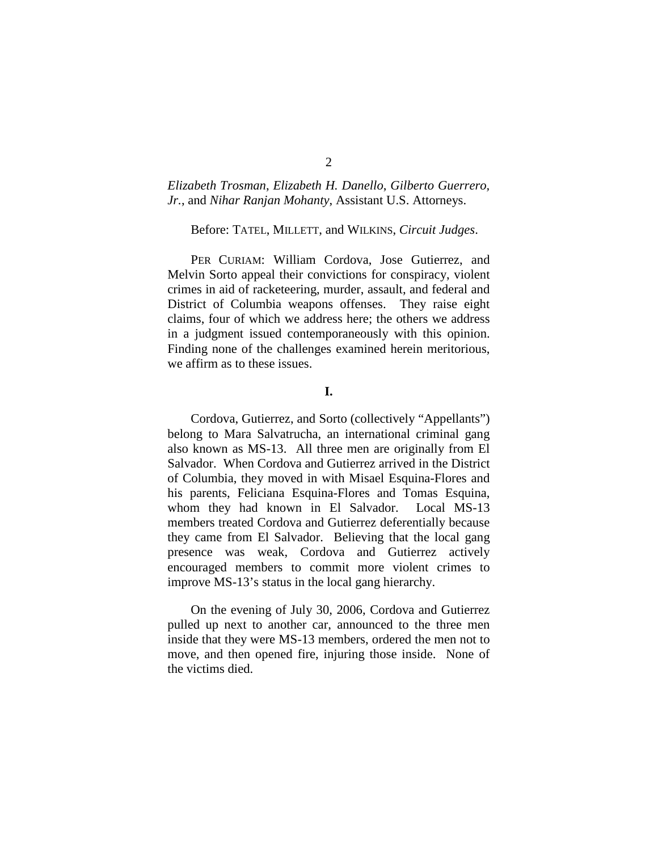## *Elizabeth Trosman*, *Elizabeth H. Danello*, *Gilberto Guerrero, Jr.*, and *Nihar Ranjan Mohanty*, Assistant U.S. Attorneys.

#### Before: TATEL, MILLETT, and WILKINS, *Circuit Judges*.

PER CURIAM: William Cordova, Jose Gutierrez, and Melvin Sorto appeal their convictions for conspiracy, violent crimes in aid of racketeering, murder, assault, and federal and District of Columbia weapons offenses. They raise eight claims, four of which we address here; the others we address in a judgment issued contemporaneously with this opinion. Finding none of the challenges examined herein meritorious, we affirm as to these issues.

**I.**

Cordova, Gutierrez, and Sorto (collectively "Appellants") belong to Mara Salvatrucha, an international criminal gang also known as MS-13. All three men are originally from El Salvador. When Cordova and Gutierrez arrived in the District of Columbia, they moved in with Misael Esquina-Flores and his parents, Feliciana Esquina-Flores and Tomas Esquina, whom they had known in El Salvador. Local MS-13 members treated Cordova and Gutierrez deferentially because they came from El Salvador. Believing that the local gang presence was weak, Cordova and Gutierrez actively encouraged members to commit more violent crimes to improve MS-13's status in the local gang hierarchy.

On the evening of July 30, 2006, Cordova and Gutierrez pulled up next to another car, announced to the three men inside that they were MS-13 members, ordered the men not to move, and then opened fire, injuring those inside. None of the victims died.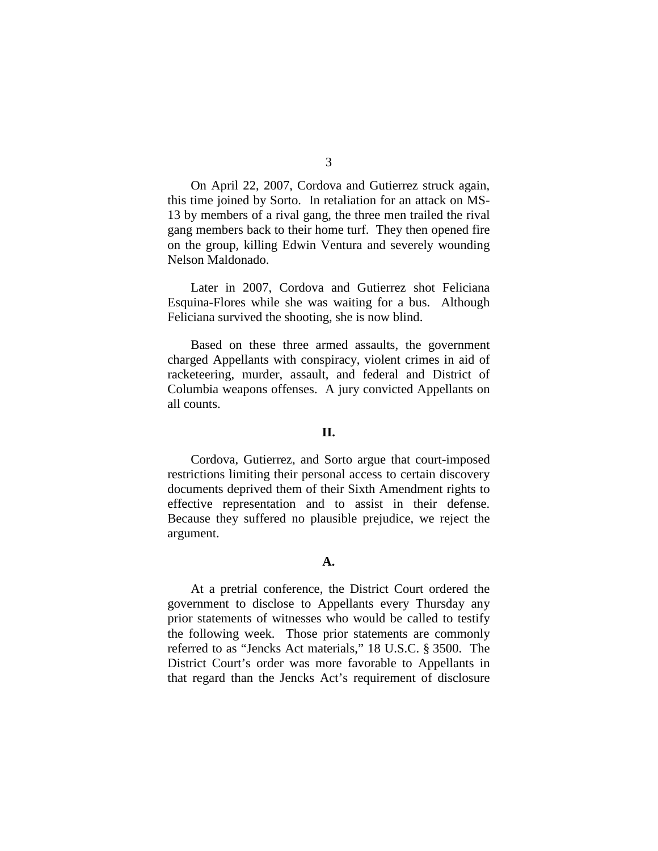On April 22, 2007, Cordova and Gutierrez struck again, this time joined by Sorto. In retaliation for an attack on MS-13 by members of a rival gang, the three men trailed the rival gang members back to their home turf. They then opened fire on the group, killing Edwin Ventura and severely wounding Nelson Maldonado.

Later in 2007, Cordova and Gutierrez shot Feliciana Esquina-Flores while she was waiting for a bus. Although Feliciana survived the shooting, she is now blind.

Based on these three armed assaults, the government charged Appellants with conspiracy, violent crimes in aid of racketeering, murder, assault, and federal and District of Columbia weapons offenses. A jury convicted Appellants on all counts.

#### **II.**

Cordova, Gutierrez, and Sorto argue that court-imposed restrictions limiting their personal access to certain discovery documents deprived them of their Sixth Amendment rights to effective representation and to assist in their defense. Because they suffered no plausible prejudice, we reject the argument.

#### **A.**

At a pretrial conference, the District Court ordered the government to disclose to Appellants every Thursday any prior statements of witnesses who would be called to testify the following week. Those prior statements are commonly referred to as "Jencks Act materials," 18 U.S.C. § 3500. The District Court's order was more favorable to Appellants in that regard than the Jencks Act's requirement of disclosure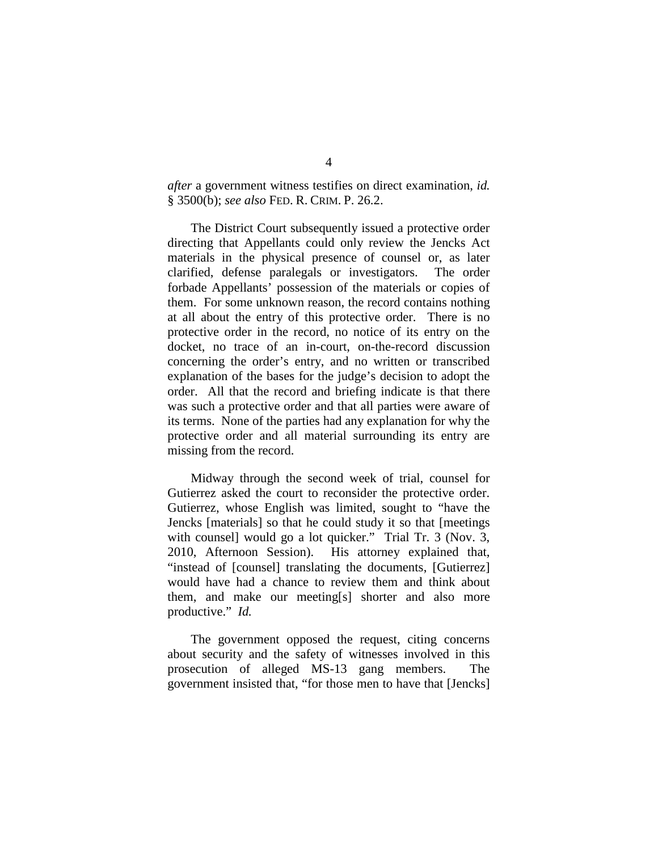*after* a government witness testifies on direct examination, *id.* § 3500(b); *see also* FED. R. CRIM. P. 26.2.

The District Court subsequently issued a protective order directing that Appellants could only review the Jencks Act materials in the physical presence of counsel or, as later clarified, defense paralegals or investigators. The order forbade Appellants' possession of the materials or copies of them. For some unknown reason, the record contains nothing at all about the entry of this protective order. There is no protective order in the record, no notice of its entry on the docket, no trace of an in-court, on-the-record discussion concerning the order's entry, and no written or transcribed explanation of the bases for the judge's decision to adopt the order. All that the record and briefing indicate is that there was such a protective order and that all parties were aware of its terms. None of the parties had any explanation for why the protective order and all material surrounding its entry are missing from the record.

Midway through the second week of trial, counsel for Gutierrez asked the court to reconsider the protective order. Gutierrez, whose English was limited, sought to "have the Jencks [materials] so that he could study it so that [meetings with counsell would go a lot quicker." Trial Tr. 3 (Nov. 3, 2010, Afternoon Session). His attorney explained that, "instead of [counsel] translating the documents, [Gutierrez] would have had a chance to review them and think about them, and make our meeting[s] shorter and also more productive." *Id.*

The government opposed the request, citing concerns about security and the safety of witnesses involved in this prosecution of alleged MS-13 gang members. The government insisted that, "for those men to have that [Jencks]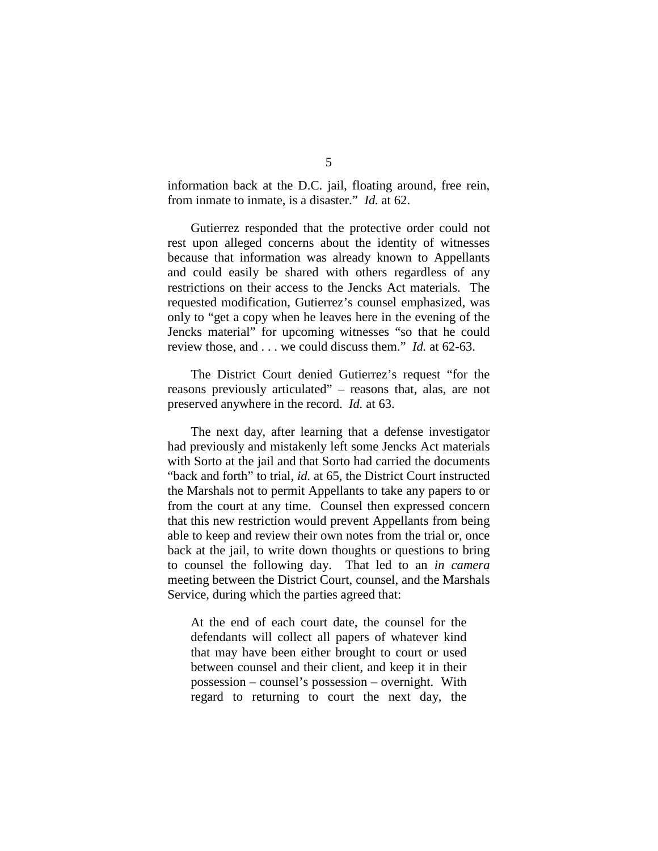information back at the D.C. jail, floating around, free rein, from inmate to inmate, is a disaster." *Id.* at 62.

Gutierrez responded that the protective order could not rest upon alleged concerns about the identity of witnesses because that information was already known to Appellants and could easily be shared with others regardless of any restrictions on their access to the Jencks Act materials. The requested modification, Gutierrez's counsel emphasized, was only to "get a copy when he leaves here in the evening of the Jencks material" for upcoming witnesses "so that he could review those, and . . . we could discuss them." *Id.* at 62-63.

The District Court denied Gutierrez's request "for the reasons previously articulated" – reasons that, alas, are not preserved anywhere in the record. *Id.* at 63.

The next day, after learning that a defense investigator had previously and mistakenly left some Jencks Act materials with Sorto at the jail and that Sorto had carried the documents "back and forth" to trial, *id.* at 65, the District Court instructed the Marshals not to permit Appellants to take any papers to or from the court at any time. Counsel then expressed concern that this new restriction would prevent Appellants from being able to keep and review their own notes from the trial or, once back at the jail, to write down thoughts or questions to bring to counsel the following day. That led to an *in camera* meeting between the District Court, counsel, and the Marshals Service, during which the parties agreed that:

At the end of each court date, the counsel for the defendants will collect all papers of whatever kind that may have been either brought to court or used between counsel and their client, and keep it in their possession – counsel's possession – overnight. With regard to returning to court the next day, the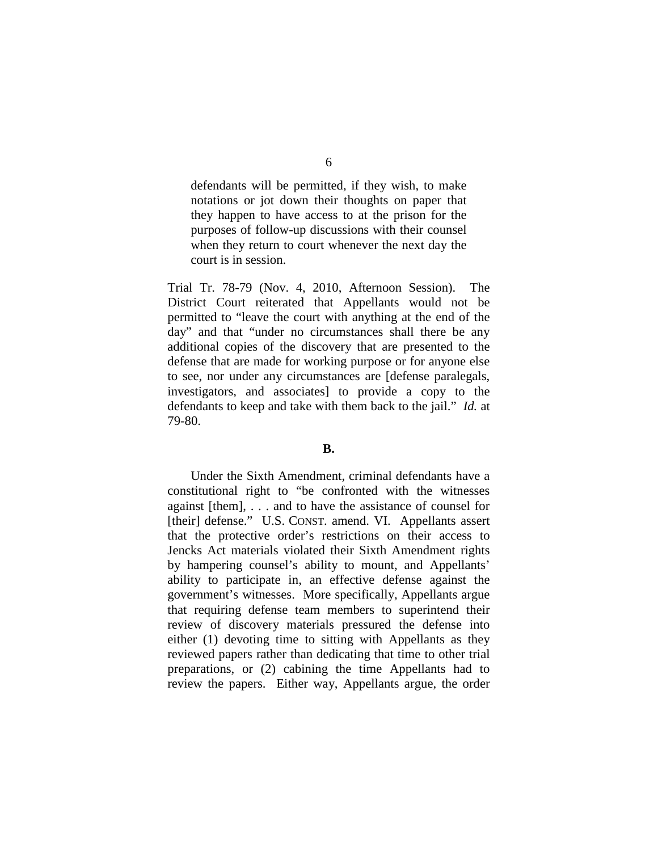defendants will be permitted, if they wish, to make notations or jot down their thoughts on paper that they happen to have access to at the prison for the purposes of follow-up discussions with their counsel when they return to court whenever the next day the court is in session.

Trial Tr. 78-79 (Nov. 4, 2010, Afternoon Session). The District Court reiterated that Appellants would not be permitted to "leave the court with anything at the end of the day" and that "under no circumstances shall there be any additional copies of the discovery that are presented to the defense that are made for working purpose or for anyone else to see, nor under any circumstances are [defense paralegals, investigators, and associates] to provide a copy to the defendants to keep and take with them back to the jail." *Id.* at 79-80.

#### **B.**

Under the Sixth Amendment, criminal defendants have a constitutional right to "be confronted with the witnesses against [them], . . . and to have the assistance of counsel for [their] defense." U.S. CONST. amend. VI. Appellants assert that the protective order's restrictions on their access to Jencks Act materials violated their Sixth Amendment rights by hampering counsel's ability to mount, and Appellants' ability to participate in, an effective defense against the government's witnesses. More specifically, Appellants argue that requiring defense team members to superintend their review of discovery materials pressured the defense into either (1) devoting time to sitting with Appellants as they reviewed papers rather than dedicating that time to other trial preparations, or (2) cabining the time Appellants had to review the papers. Either way, Appellants argue, the order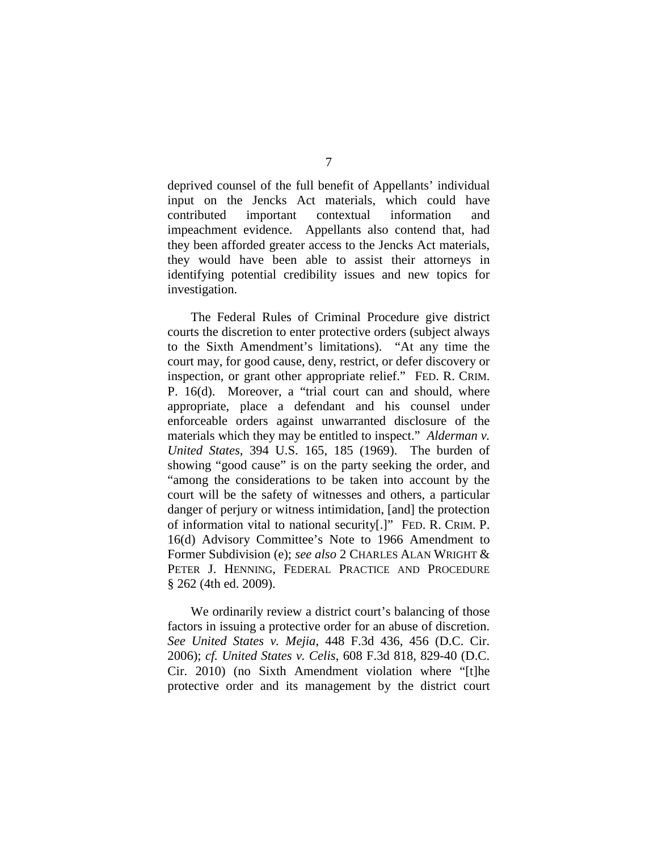deprived counsel of the full benefit of Appellants' individual input on the Jencks Act materials, which could have contributed important contextual information and impeachment evidence. Appellants also contend that, had they been afforded greater access to the Jencks Act materials, they would have been able to assist their attorneys in identifying potential credibility issues and new topics for investigation.

The Federal Rules of Criminal Procedure give district courts the discretion to enter protective orders (subject always to the Sixth Amendment's limitations). "At any time the court may, for good cause, deny, restrict, or defer discovery or inspection, or grant other appropriate relief." FED. R. CRIM. P. 16(d). Moreover, a "trial court can and should, where appropriate, place a defendant and his counsel under enforceable orders against unwarranted disclosure of the materials which they may be entitled to inspect." *Alderman v. United States*, 394 U.S. 165, 185 (1969). The burden of showing "good cause" is on the party seeking the order, and "among the considerations to be taken into account by the court will be the safety of witnesses and others, a particular danger of perjury or witness intimidation, [and] the protection of information vital to national security[.]" FED. R. CRIM. P. 16(d) Advisory Committee's Note to 1966 Amendment to Former Subdivision (e); *see also* 2 CHARLES ALAN WRIGHT & PETER J. HENNING, FEDERAL PRACTICE AND PROCEDURE § 262 (4th ed. 2009).

We ordinarily review a district court's balancing of those factors in issuing a protective order for an abuse of discretion. *See United States v. Mejia*, 448 F.3d 436, 456 (D.C. Cir. 2006); *cf. United States v. Celis*, 608 F.3d 818, 829-40 (D.C. Cir. 2010) (no Sixth Amendment violation where "[t]he protective order and its management by the district court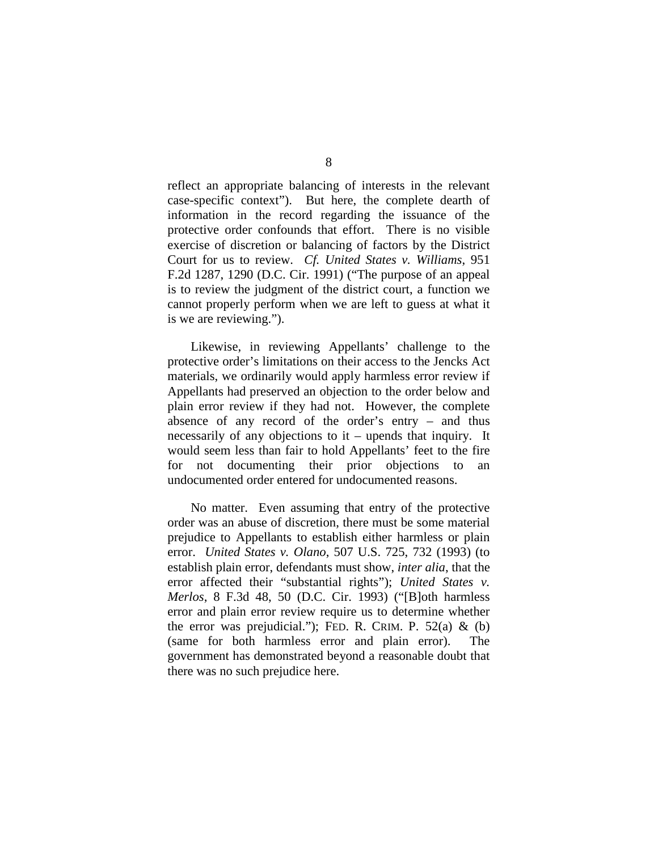reflect an appropriate balancing of interests in the relevant case-specific context"). But here, the complete dearth of information in the record regarding the issuance of the protective order confounds that effort. There is no visible exercise of discretion or balancing of factors by the District Court for us to review. *Cf. United States v. Williams*, 951 F.2d 1287, 1290 (D.C. Cir. 1991) ("The purpose of an appeal is to review the judgment of the district court, a function we cannot properly perform when we are left to guess at what it is we are reviewing.").

Likewise, in reviewing Appellants' challenge to the protective order's limitations on their access to the Jencks Act materials, we ordinarily would apply harmless error review if Appellants had preserved an objection to the order below and plain error review if they had not. However, the complete absence of any record of the order's entry – and thus necessarily of any objections to it – upends that inquiry. It would seem less than fair to hold Appellants' feet to the fire for not documenting their prior objections to an undocumented order entered for undocumented reasons.

No matter. Even assuming that entry of the protective order was an abuse of discretion, there must be some material prejudice to Appellants to establish either harmless or plain error. *United States v. Olano*, 507 U.S. 725, 732 (1993) (to establish plain error, defendants must show, *inter alia*, that the error affected their "substantial rights"); *United States v. Merlos*, 8 F.3d 48, 50 (D.C. Cir. 1993) ("[B]oth harmless error and plain error review require us to determine whether the error was prejudicial."); FED. R. CRIM. P.  $52(a) \& (b)$ (same for both harmless error and plain error). The government has demonstrated beyond a reasonable doubt that there was no such prejudice here.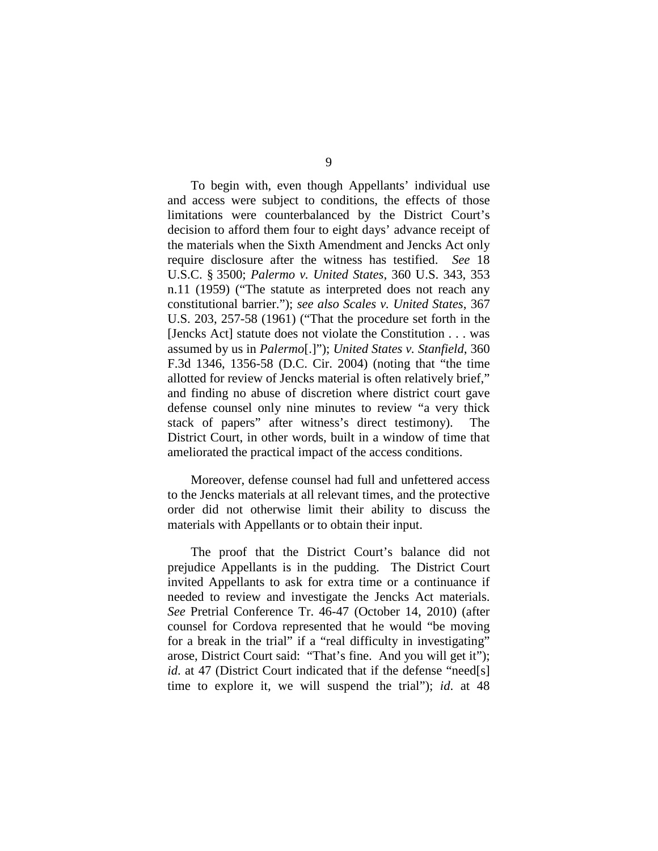To begin with, even though Appellants' individual use and access were subject to conditions, the effects of those limitations were counterbalanced by the District Court's decision to afford them four to eight days' advance receipt of the materials when the Sixth Amendment and Jencks Act only require disclosure after the witness has testified. *See* 18 U.S.C. § 3500; *Palermo v. United States*, 360 U.S. 343, 353 n.11 (1959) ("The statute as interpreted does not reach any constitutional barrier."); *see also Scales v. United States*, 367 U.S. 203, 257-58 (1961) ("That the procedure set forth in the [Jencks Act] statute does not violate the Constitution . . . was assumed by us in *Palermo*[.]"); *United States v. Stanfield*, 360 F.3d 1346, 1356-58 (D.C. Cir. 2004) (noting that "the time allotted for review of Jencks material is often relatively brief," and finding no abuse of discretion where district court gave defense counsel only nine minutes to review "a very thick stack of papers" after witness's direct testimony). District Court, in other words, built in a window of time that ameliorated the practical impact of the access conditions.

Moreover, defense counsel had full and unfettered access to the Jencks materials at all relevant times, and the protective order did not otherwise limit their ability to discuss the materials with Appellants or to obtain their input.

The proof that the District Court's balance did not prejudice Appellants is in the pudding. The District Court invited Appellants to ask for extra time or a continuance if needed to review and investigate the Jencks Act materials. *See* Pretrial Conference Tr. 46-47 (October 14, 2010) (after counsel for Cordova represented that he would "be moving for a break in the trial" if a "real difficulty in investigating" arose, District Court said: "That's fine. And you will get it"); *id*. at 47 (District Court indicated that if the defense "need[s] time to explore it, we will suspend the trial"); *id*. at 48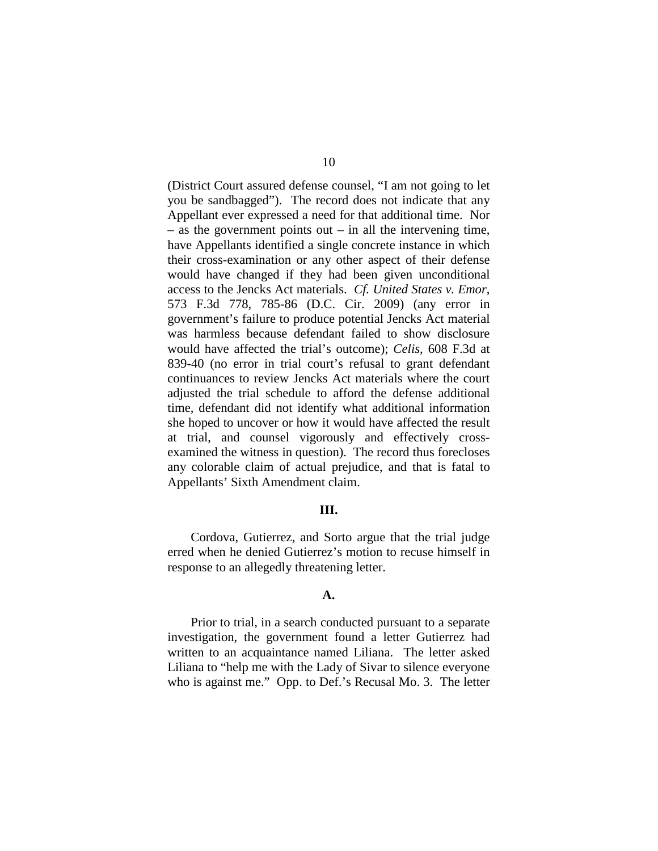(District Court assured defense counsel, "I am not going to let you be sandbagged"). The record does not indicate that any Appellant ever expressed a need for that additional time. Nor  $-$  as the government points out  $-$  in all the intervening time, have Appellants identified a single concrete instance in which their cross-examination or any other aspect of their defense would have changed if they had been given unconditional access to the Jencks Act materials. *Cf. United States v. Emor*, 573 F.3d 778, 785-86 (D.C. Cir. 2009) (any error in government's failure to produce potential Jencks Act material was harmless because defendant failed to show disclosure would have affected the trial's outcome); *Celis*, 608 F.3d at 839-40 (no error in trial court's refusal to grant defendant continuances to review Jencks Act materials where the court adjusted the trial schedule to afford the defense additional time, defendant did not identify what additional information she hoped to uncover or how it would have affected the result at trial, and counsel vigorously and effectively crossexamined the witness in question). The record thus forecloses any colorable claim of actual prejudice, and that is fatal to Appellants' Sixth Amendment claim.

#### **III.**

Cordova, Gutierrez, and Sorto argue that the trial judge erred when he denied Gutierrez's motion to recuse himself in response to an allegedly threatening letter.

#### **A.**

Prior to trial, in a search conducted pursuant to a separate investigation, the government found a letter Gutierrez had written to an acquaintance named Liliana. The letter asked Liliana to "help me with the Lady of Sivar to silence everyone who is against me." Opp. to Def.'s Recusal Mo. 3. The letter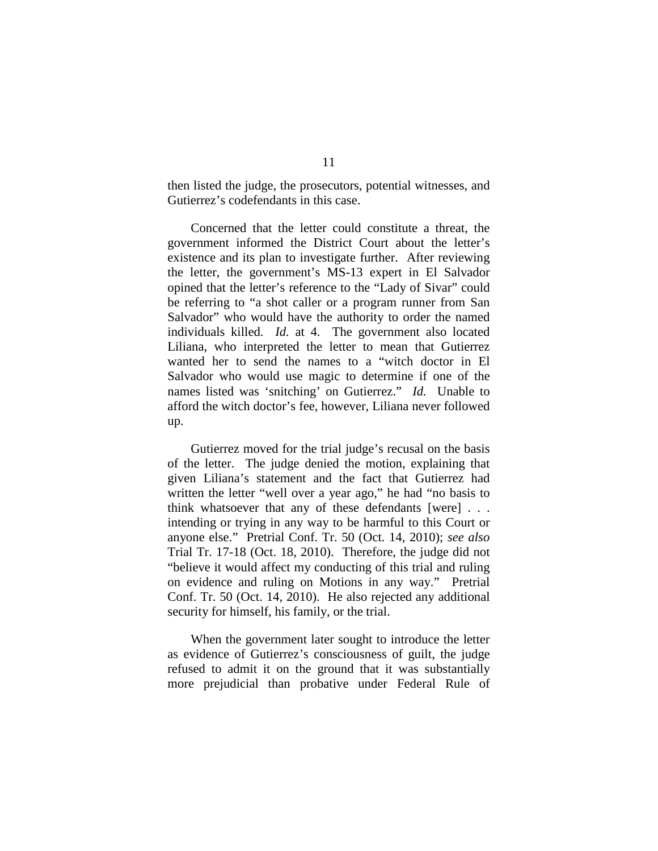then listed the judge, the prosecutors, potential witnesses, and Gutierrez's codefendants in this case.

Concerned that the letter could constitute a threat, the government informed the District Court about the letter's existence and its plan to investigate further. After reviewing the letter, the government's MS-13 expert in El Salvador opined that the letter's reference to the "Lady of Sivar" could be referring to "a shot caller or a program runner from San Salvador" who would have the authority to order the named individuals killed. *Id.* at 4. The government also located Liliana, who interpreted the letter to mean that Gutierrez wanted her to send the names to a "witch doctor in El Salvador who would use magic to determine if one of the names listed was 'snitching' on Gutierrez." *Id.* Unable to afford the witch doctor's fee, however, Liliana never followed up.

Gutierrez moved for the trial judge's recusal on the basis of the letter. The judge denied the motion, explaining that given Liliana's statement and the fact that Gutierrez had written the letter "well over a year ago," he had "no basis to think whatsoever that any of these defendants [were] . . . intending or trying in any way to be harmful to this Court or anyone else." Pretrial Conf. Tr. 50 (Oct. 14, 2010); *see also*  Trial Tr. 17-18 (Oct. 18, 2010). Therefore, the judge did not "believe it would affect my conducting of this trial and ruling on evidence and ruling on Motions in any way." Pretrial Conf. Tr. 50 (Oct. 14, 2010). He also rejected any additional security for himself, his family, or the trial.

When the government later sought to introduce the letter as evidence of Gutierrez's consciousness of guilt, the judge refused to admit it on the ground that it was substantially more prejudicial than probative under Federal Rule of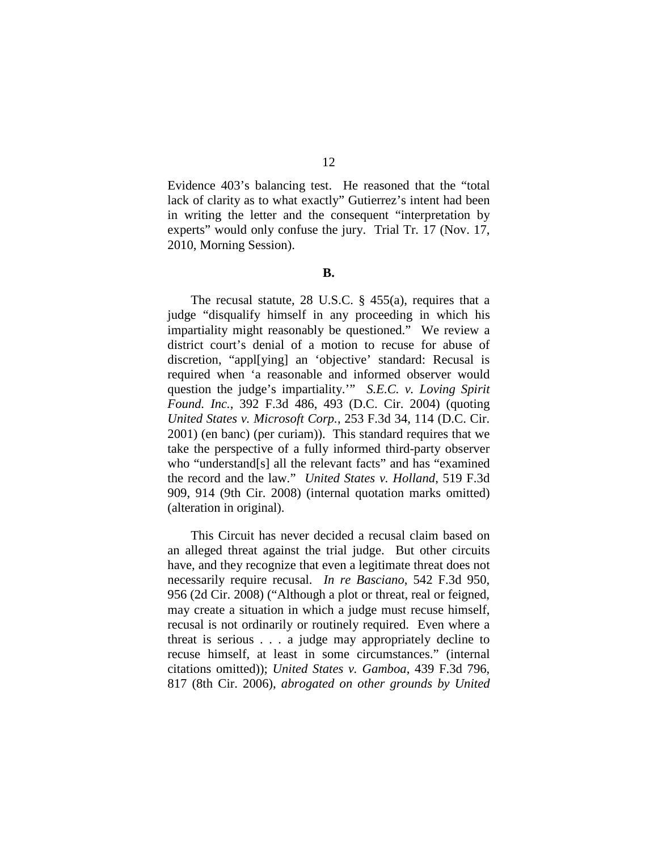12

Evidence 403's balancing test. He reasoned that the "total lack of clarity as to what exactly" Gutierrez's intent had been in writing the letter and the consequent "interpretation by experts" would only confuse the jury. Trial Tr. 17 (Nov. 17, 2010, Morning Session).

#### **B.**

The recusal statute, 28 U.S.C. § 455(a), requires that a judge "disqualify himself in any proceeding in which his impartiality might reasonably be questioned." We review a district court's denial of a motion to recuse for abuse of discretion, "appl[ying] an 'objective' standard: Recusal is required when 'a reasonable and informed observer would question the judge's impartiality.'" *S.E.C. v. Loving Spirit Found. Inc.*, 392 F.3d 486, 493 (D.C. Cir. 2004) (quoting *United States v. Microsoft Corp.*, 253 F.3d 34, 114 (D.C. Cir. 2001) (en banc) (per curiam)). This standard requires that we take the perspective of a fully informed third-party observer who "understand[s] all the relevant facts" and has "examined the record and the law." *United States v. Holland*, 519 F.3d 909, 914 (9th Cir. 2008) (internal quotation marks omitted) (alteration in original).

This Circuit has never decided a recusal claim based on an alleged threat against the trial judge. But other circuits have, and they recognize that even a legitimate threat does not necessarily require recusal. *In re Basciano*, 542 F.3d 950, 956 (2d Cir. 2008) ("Although a plot or threat, real or feigned, may create a situation in which a judge must recuse himself, recusal is not ordinarily or routinely required. Even where a threat is serious . . . a judge may appropriately decline to recuse himself, at least in some circumstances." (internal citations omitted)); *United States v. Gamboa*, 439 F.3d 796, 817 (8th Cir. 2006), *abrogated on other grounds by United*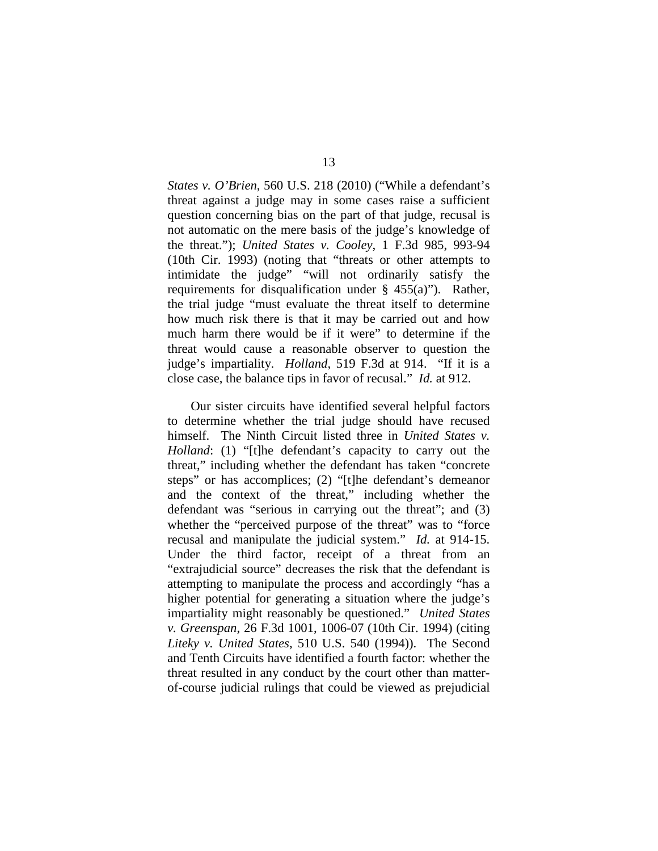*States v. O'Brien*, 560 U.S. 218 (2010) ("While a defendant's threat against a judge may in some cases raise a sufficient question concerning bias on the part of that judge, recusal is not automatic on the mere basis of the judge's knowledge of the threat."); *United States v. Cooley*, 1 F.3d 985, 993-94 (10th Cir. 1993) (noting that "threats or other attempts to intimidate the judge" "will not ordinarily satisfy the requirements for disqualification under  $\S$  455(a)"). Rather, the trial judge "must evaluate the threat itself to determine how much risk there is that it may be carried out and how much harm there would be if it were" to determine if the threat would cause a reasonable observer to question the judge's impartiality. *Holland*, 519 F.3d at 914. "If it is a close case, the balance tips in favor of recusal." *Id.* at 912.

Our sister circuits have identified several helpful factors to determine whether the trial judge should have recused himself. The Ninth Circuit listed three in *United States v. Holland*: (1) "[t]he defendant's capacity to carry out the threat," including whether the defendant has taken "concrete steps" or has accomplices; (2) "[t]he defendant's demeanor and the context of the threat," including whether the defendant was "serious in carrying out the threat"; and (3) whether the "perceived purpose of the threat" was to "force recusal and manipulate the judicial system." *Id.* at 914-15. Under the third factor, receipt of a threat from an "extrajudicial source" decreases the risk that the defendant is attempting to manipulate the process and accordingly "has a higher potential for generating a situation where the judge's impartiality might reasonably be questioned." *United States v. Greenspan*, 26 F.3d 1001, 1006-07 (10th Cir. 1994) (citing *Liteky v. United States*, 510 U.S. 540 (1994)). The Second and Tenth Circuits have identified a fourth factor: whether the threat resulted in any conduct by the court other than matterof-course judicial rulings that could be viewed as prejudicial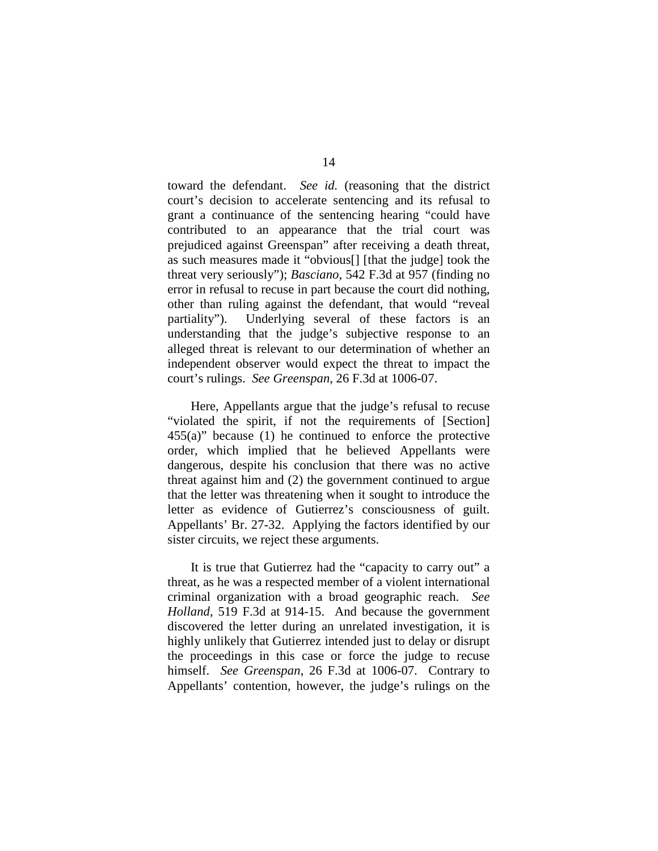toward the defendant. *See id.* (reasoning that the district court's decision to accelerate sentencing and its refusal to grant a continuance of the sentencing hearing "could have contributed to an appearance that the trial court was prejudiced against Greenspan" after receiving a death threat, as such measures made it "obvious[] [that the judge] took the threat very seriously"); *Basciano*, 542 F.3d at 957 (finding no error in refusal to recuse in part because the court did nothing, other than ruling against the defendant, that would "reveal partiality"). Underlying several of these factors is an understanding that the judge's subjective response to an alleged threat is relevant to our determination of whether an independent observer would expect the threat to impact the court's rulings. *See Greenspan*, 26 F.3d at 1006-07.

Here, Appellants argue that the judge's refusal to recuse "violated the spirit, if not the requirements of [Section] 455(a)" because (1) he continued to enforce the protective order, which implied that he believed Appellants were dangerous, despite his conclusion that there was no active threat against him and (2) the government continued to argue that the letter was threatening when it sought to introduce the letter as evidence of Gutierrez's consciousness of guilt. Appellants' Br. 27-32. Applying the factors identified by our sister circuits, we reject these arguments.

It is true that Gutierrez had the "capacity to carry out" a threat, as he was a respected member of a violent international criminal organization with a broad geographic reach. *See Holland*, 519 F.3d at 914-15. And because the government discovered the letter during an unrelated investigation, it is highly unlikely that Gutierrez intended just to delay or disrupt the proceedings in this case or force the judge to recuse himself. *See Greenspan*, 26 F.3d at 1006-07. Contrary to Appellants' contention, however, the judge's rulings on the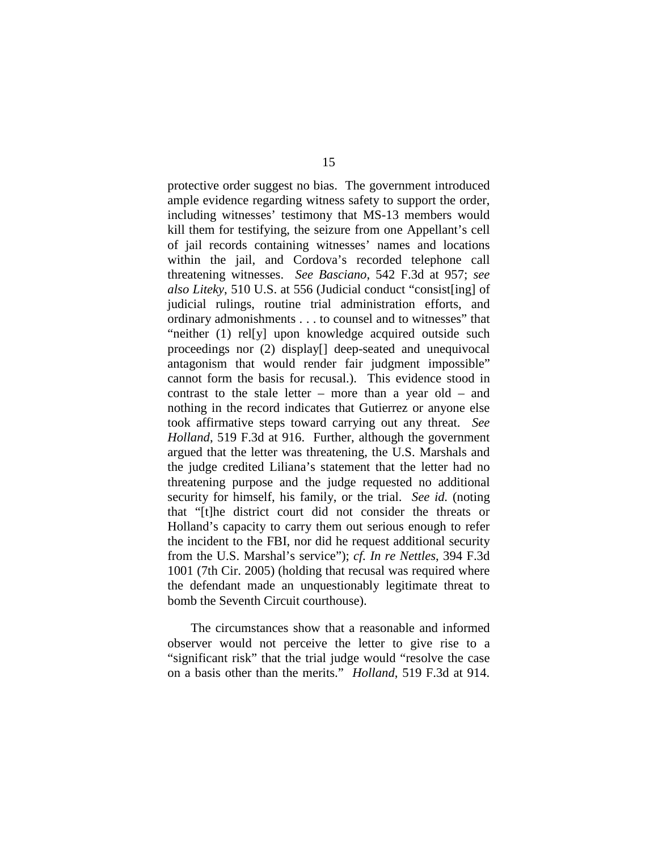protective order suggest no bias. The government introduced ample evidence regarding witness safety to support the order, including witnesses' testimony that MS-13 members would kill them for testifying, the seizure from one Appellant's cell of jail records containing witnesses' names and locations within the jail, and Cordova's recorded telephone call threatening witnesses. *See Basciano*, 542 F.3d at 957; *see also Liteky*, 510 U.S. at 556 (Judicial conduct "consist[ing] of judicial rulings, routine trial administration efforts, and ordinary admonishments . . . to counsel and to witnesses" that "neither (1) rel[y] upon knowledge acquired outside such proceedings nor (2) display[] deep-seated and unequivocal antagonism that would render fair judgment impossible" cannot form the basis for recusal.). This evidence stood in contrast to the stale letter – more than a year old – and nothing in the record indicates that Gutierrez or anyone else took affirmative steps toward carrying out any threat. *See Holland*, 519 F.3d at 916. Further, although the government argued that the letter was threatening, the U.S. Marshals and the judge credited Liliana's statement that the letter had no threatening purpose and the judge requested no additional security for himself, his family, or the trial. *See id.* (noting that "[t]he district court did not consider the threats or Holland's capacity to carry them out serious enough to refer the incident to the FBI, nor did he request additional security from the U.S. Marshal's service"); *cf. In re Nettles*, 394 F.3d 1001 (7th Cir. 2005) (holding that recusal was required where the defendant made an unquestionably legitimate threat to bomb the Seventh Circuit courthouse).

The circumstances show that a reasonable and informed observer would not perceive the letter to give rise to a "significant risk" that the trial judge would "resolve the case on a basis other than the merits." *Holland*, 519 F.3d at 914.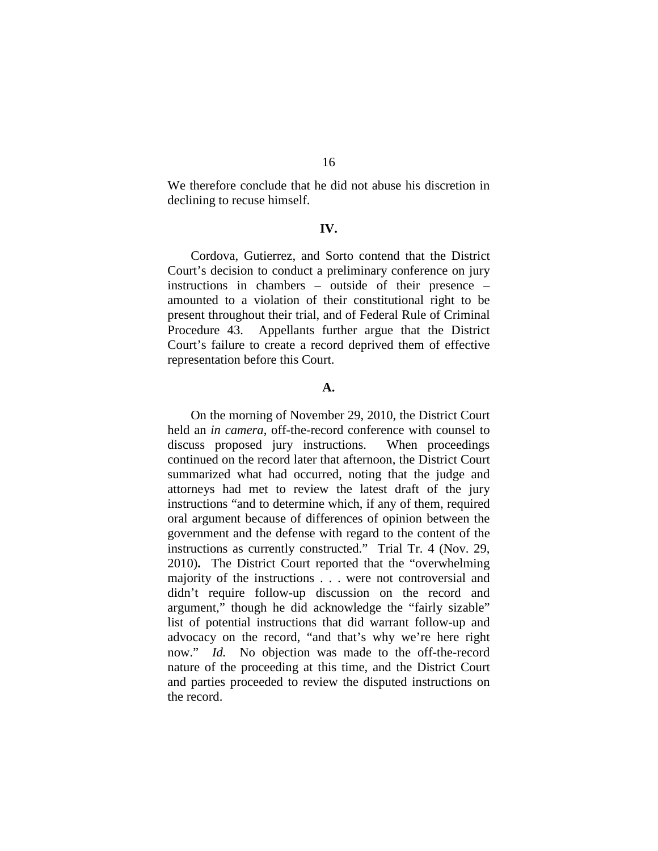We therefore conclude that he did not abuse his discretion in declining to recuse himself.

#### **IV.**

Cordova, Gutierrez, and Sorto contend that the District Court's decision to conduct a preliminary conference on jury instructions in chambers – outside of their presence – amounted to a violation of their constitutional right to be present throughout their trial, and of Federal Rule of Criminal Procedure 43. Appellants further argue that the District Court's failure to create a record deprived them of effective representation before this Court.

#### **A.**

On the morning of November 29, 2010, the District Court held an *in camera*, off-the-record conference with counsel to discuss proposed jury instructions. When proceedings continued on the record later that afternoon, the District Court summarized what had occurred, noting that the judge and attorneys had met to review the latest draft of the jury instructions "and to determine which, if any of them, required oral argument because of differences of opinion between the government and the defense with regard to the content of the instructions as currently constructed." Trial Tr. 4 (Nov. 29, 2010)**.** The District Court reported that the "overwhelming majority of the instructions . . . were not controversial and didn't require follow-up discussion on the record and argument," though he did acknowledge the "fairly sizable" list of potential instructions that did warrant follow-up and advocacy on the record, "and that's why we're here right now." *Id.* No objection was made to the off-the-record nature of the proceeding at this time, and the District Court and parties proceeded to review the disputed instructions on the record.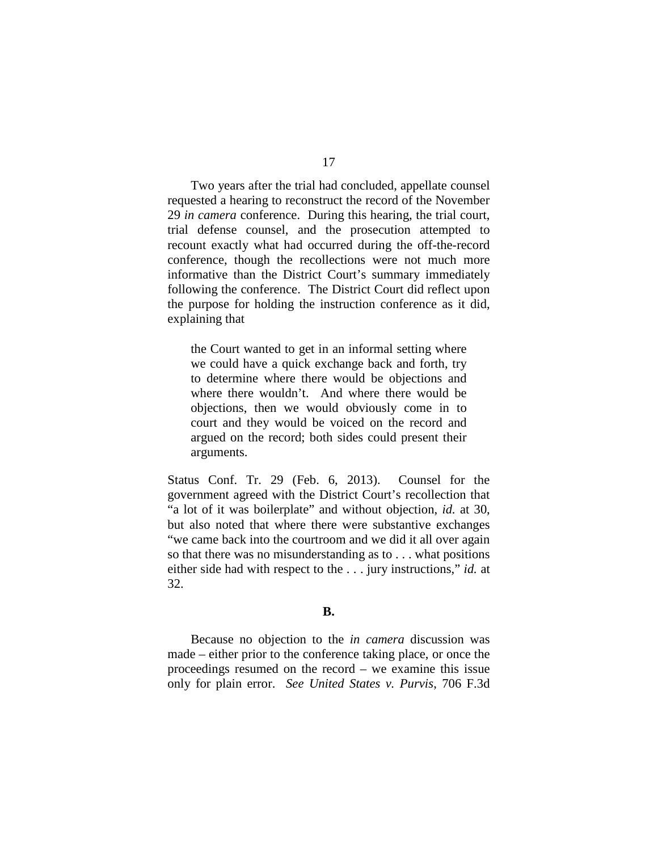Two years after the trial had concluded, appellate counsel requested a hearing to reconstruct the record of the November 29 *in camera* conference. During this hearing, the trial court, trial defense counsel, and the prosecution attempted to recount exactly what had occurred during the off-the-record conference, though the recollections were not much more

informative than the District Court's summary immediately following the conference. The District Court did reflect upon the purpose for holding the instruction conference as it did, explaining that

the Court wanted to get in an informal setting where we could have a quick exchange back and forth, try to determine where there would be objections and where there wouldn't. And where there would be objections, then we would obviously come in to court and they would be voiced on the record and argued on the record; both sides could present their arguments.

Status Conf. Tr. 29 (Feb. 6, 2013). Counsel for the government agreed with the District Court's recollection that "a lot of it was boilerplate" and without objection, *id.* at 30, but also noted that where there were substantive exchanges "we came back into the courtroom and we did it all over again so that there was no misunderstanding as to . . . what positions either side had with respect to the . . . jury instructions," *id.* at 32.

### **B.**

Because no objection to the *in camera* discussion was made – either prior to the conference taking place, or once the proceedings resumed on the record – we examine this issue only for plain error. *See United States v. Purvis*, 706 F.3d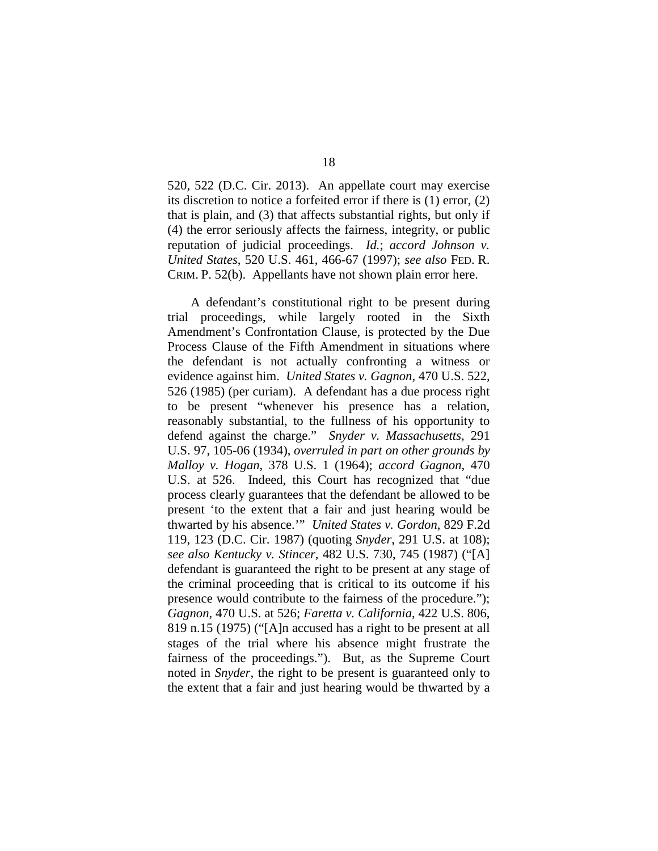520, 522 (D.C. Cir. 2013). An appellate court may exercise its discretion to notice a forfeited error if there is (1) error, (2) that is plain, and (3) that affects substantial rights, but only if (4) the error seriously affects the fairness, integrity, or public reputation of judicial proceedings. *Id.*; *accord Johnson v. United States*, 520 U.S. 461, 466-67 (1997); *see also* FED. R. CRIM. P. 52(b). Appellants have not shown plain error here.

A defendant's constitutional right to be present during trial proceedings, while largely rooted in the Sixth Amendment's Confrontation Clause, is protected by the Due Process Clause of the Fifth Amendment in situations where the defendant is not actually confronting a witness or evidence against him. *United States v. Gagnon*, 470 U.S. 522, 526 (1985) (per curiam). A defendant has a due process right to be present "whenever his presence has a relation, reasonably substantial, to the fullness of his opportunity to defend against the charge." *Snyder v. Massachusetts,* 291 U.S. 97, 105-06 (1934), *overruled in part on other grounds by Malloy v. Hogan*, 378 U.S. 1 (1964); *accord Gagnon*, 470 U.S. at 526. Indeed, this Court has recognized that "due process clearly guarantees that the defendant be allowed to be present 'to the extent that a fair and just hearing would be thwarted by his absence.'" *United States v. Gordon*, 829 F.2d 119, 123 (D.C. Cir. 1987) (quoting *Snyder*, 291 U.S. at 108); *see also Kentucky v. Stincer*, 482 U.S. 730, 745 (1987) ("[A] defendant is guaranteed the right to be present at any stage of the criminal proceeding that is critical to its outcome if his presence would contribute to the fairness of the procedure."); *Gagnon*, 470 U.S. at 526; *Faretta v. California*, 422 U.S. 806, 819 n.15 (1975) ("[A]n accused has a right to be present at all stages of the trial where his absence might frustrate the fairness of the proceedings."). But, as the Supreme Court noted in *Snyder*, the right to be present is guaranteed only to the extent that a fair and just hearing would be thwarted by a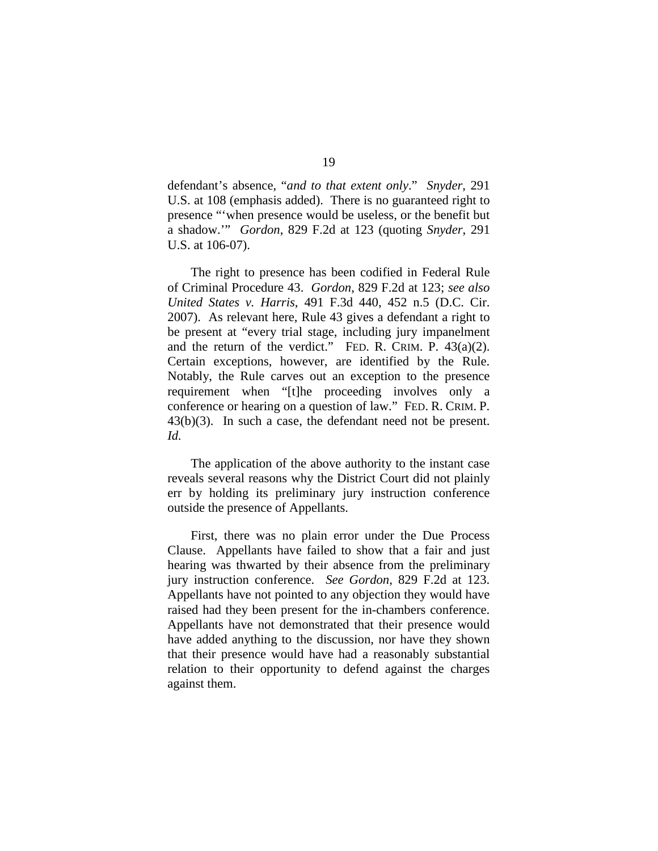defendant's absence, "*and to that extent only*." *Snyder*, 291 U.S. at 108 (emphasis added). There is no guaranteed right to presence "'when presence would be useless, or the benefit but a shadow.'" *Gordon*, 829 F.2d at 123 (quoting *Snyder*, 291 U.S. at 106-07).

The right to presence has been codified in Federal Rule of Criminal Procedure 43. *Gordon*, 829 F.2d at 123; *see also United States v. Harris*, 491 F.3d 440, 452 n.5 (D.C. Cir. 2007). As relevant here, Rule 43 gives a defendant a right to be present at "every trial stage, including jury impanelment and the return of the verdict." FED. R. CRIM. P.  $43(a)(2)$ . Certain exceptions, however, are identified by the Rule. Notably, the Rule carves out an exception to the presence requirement when "[t]he proceeding involves only a conference or hearing on a question of law." FED. R. CRIM. P. 43(b)(3). In such a case, the defendant need not be present. *Id.*

The application of the above authority to the instant case reveals several reasons why the District Court did not plainly err by holding its preliminary jury instruction conference outside the presence of Appellants.

First, there was no plain error under the Due Process Clause. Appellants have failed to show that a fair and just hearing was thwarted by their absence from the preliminary jury instruction conference. *See Gordon*, 829 F.2d at 123. Appellants have not pointed to any objection they would have raised had they been present for the in-chambers conference. Appellants have not demonstrated that their presence would have added anything to the discussion, nor have they shown that their presence would have had a reasonably substantial relation to their opportunity to defend against the charges against them.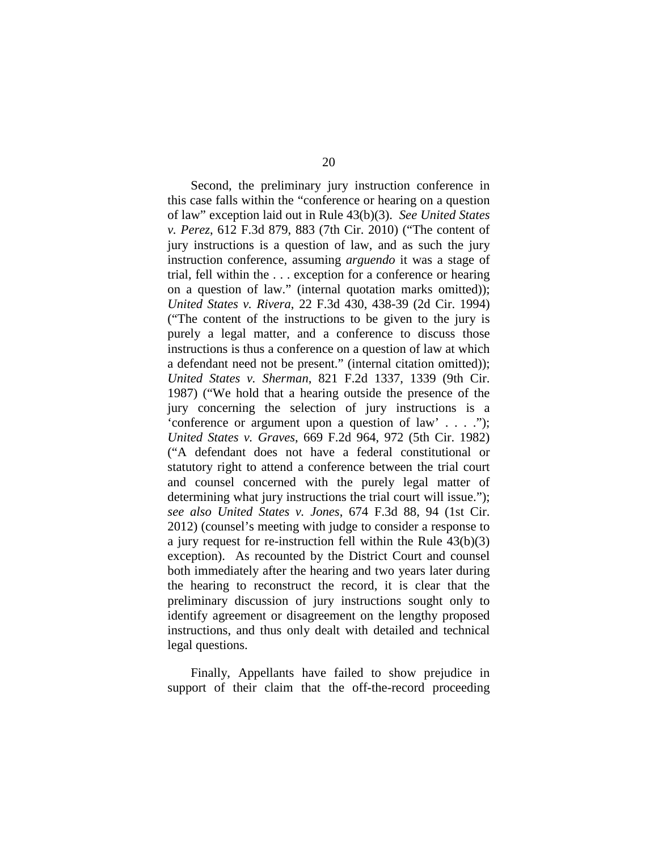Second, the preliminary jury instruction conference in this case falls within the "conference or hearing on a question of law" exception laid out in Rule 43(b)(3). *See United States v. Perez*, 612 F.3d 879, 883 (7th Cir. 2010) ("The content of jury instructions is a question of law, and as such the jury instruction conference, assuming *arguendo* it was a stage of trial, fell within the . . . exception for a conference or hearing on a question of law." (internal quotation marks omitted)); *United States v. Rivera*, 22 F.3d 430, 438-39 (2d Cir. 1994) ("The content of the instructions to be given to the jury is purely a legal matter, and a conference to discuss those instructions is thus a conference on a question of law at which a defendant need not be present." (internal citation omitted)); *United States v. Sherman*, 821 F.2d 1337, 1339 (9th Cir. 1987) ("We hold that a hearing outside the presence of the jury concerning the selection of jury instructions is a 'conference or argument upon a question of law' . . . ."); *United States v. Graves*, 669 F.2d 964, 972 (5th Cir. 1982) ("A defendant does not have a federal constitutional or statutory right to attend a conference between the trial court and counsel concerned with the purely legal matter of determining what jury instructions the trial court will issue."); *see also United States v. Jones*, 674 F.3d 88, 94 (1st Cir. 2012) (counsel's meeting with judge to consider a response to a jury request for re-instruction fell within the Rule  $43(b)(3)$ exception). As recounted by the District Court and counsel both immediately after the hearing and two years later during the hearing to reconstruct the record, it is clear that the preliminary discussion of jury instructions sought only to identify agreement or disagreement on the lengthy proposed instructions, and thus only dealt with detailed and technical legal questions.

Finally, Appellants have failed to show prejudice in support of their claim that the off-the-record proceeding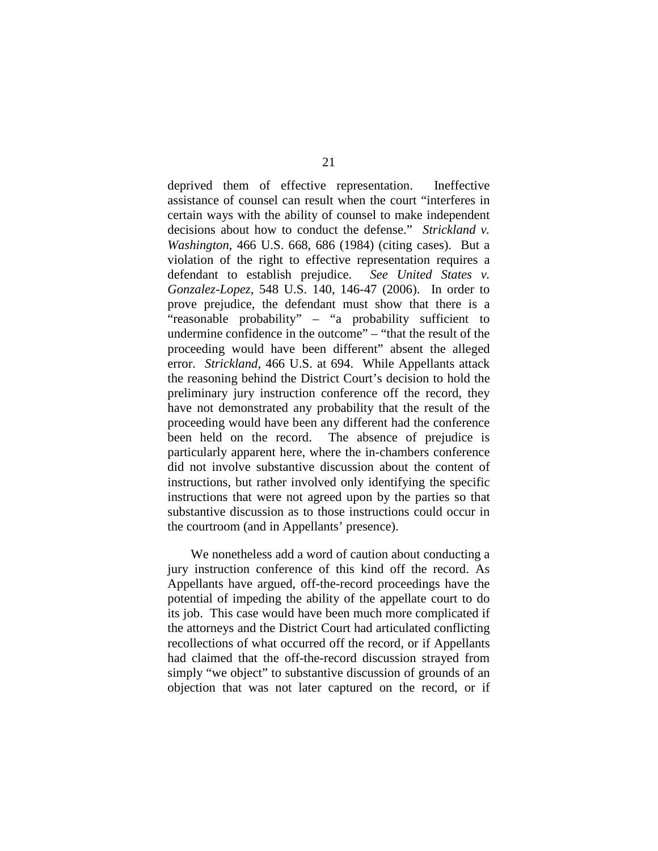deprived them of effective representation. Ineffective assistance of counsel can result when the court "interferes in certain ways with the ability of counsel to make independent decisions about how to conduct the defense." *Strickland v. Washington*, 466 U.S. 668, 686 (1984) (citing cases). But a violation of the right to effective representation requires a defendant to establish prejudice. *See United States v. Gonzalez-Lopez*, 548 U.S. 140, 146-47 (2006). In order to prove prejudice, the defendant must show that there is a "reasonable probability" – "a probability sufficient to undermine confidence in the outcome" – "that the result of the proceeding would have been different" absent the alleged error. *Strickland*, 466 U.S. at 694. While Appellants attack the reasoning behind the District Court's decision to hold the preliminary jury instruction conference off the record, they have not demonstrated any probability that the result of the proceeding would have been any different had the conference been held on the record. The absence of prejudice is particularly apparent here, where the in-chambers conference did not involve substantive discussion about the content of instructions, but rather involved only identifying the specific instructions that were not agreed upon by the parties so that substantive discussion as to those instructions could occur in the courtroom (and in Appellants' presence).

We nonetheless add a word of caution about conducting a jury instruction conference of this kind off the record. As Appellants have argued, off-the-record proceedings have the potential of impeding the ability of the appellate court to do its job. This case would have been much more complicated if the attorneys and the District Court had articulated conflicting recollections of what occurred off the record, or if Appellants had claimed that the off-the-record discussion strayed from simply "we object" to substantive discussion of grounds of an objection that was not later captured on the record, or if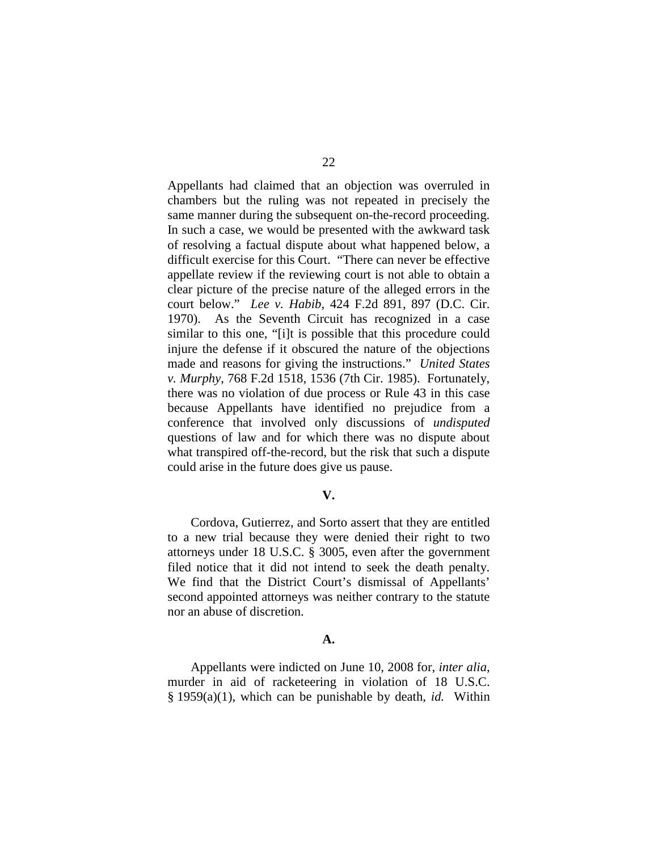Appellants had claimed that an objection was overruled in chambers but the ruling was not repeated in precisely the same manner during the subsequent on-the-record proceeding. In such a case, we would be presented with the awkward task of resolving a factual dispute about what happened below, a difficult exercise for this Court. "There can never be effective appellate review if the reviewing court is not able to obtain a clear picture of the precise nature of the alleged errors in the court below." *Lee v. Habib*, 424 F.2d 891, 897 (D.C. Cir. 1970). As the Seventh Circuit has recognized in a case similar to this one, "[i]t is possible that this procedure could injure the defense if it obscured the nature of the objections made and reasons for giving the instructions." *United States v. Murphy*, 768 F.2d 1518, 1536 (7th Cir. 1985). Fortunately, there was no violation of due process or Rule 43 in this case because Appellants have identified no prejudice from a conference that involved only discussions of *undisputed* questions of law and for which there was no dispute about what transpired off-the-record, but the risk that such a dispute could arise in the future does give us pause.

#### **V.**

Cordova, Gutierrez, and Sorto assert that they are entitled to a new trial because they were denied their right to two attorneys under 18 U.S.C. § 3005, even after the government filed notice that it did not intend to seek the death penalty. We find that the District Court's dismissal of Appellants' second appointed attorneys was neither contrary to the statute nor an abuse of discretion.

#### **A.**

Appellants were indicted on June 10, 2008 for, *inter alia*, murder in aid of racketeering in violation of 18 U.S.C. § 1959(a)(1), which can be punishable by death, *id.* Within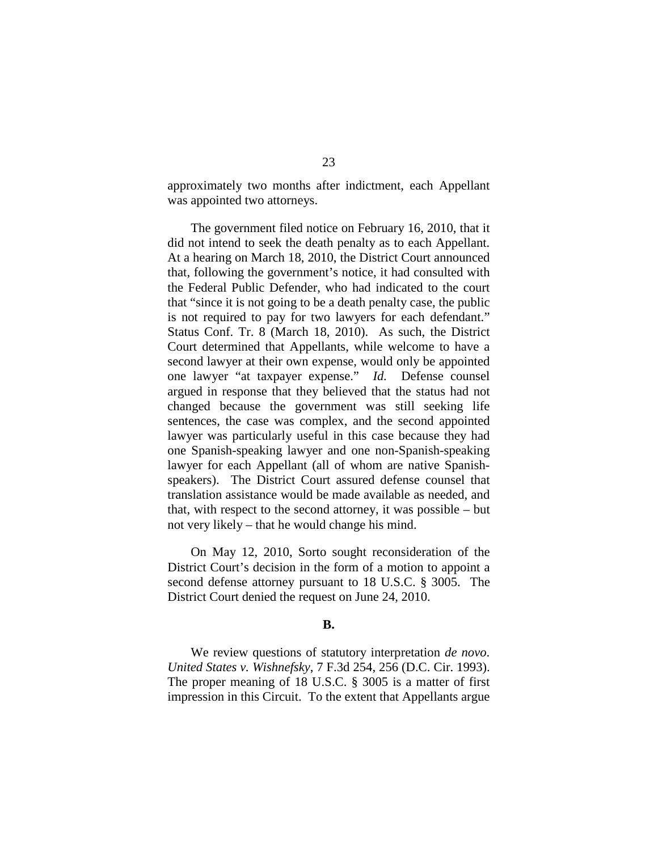approximately two months after indictment, each Appellant was appointed two attorneys.

The government filed notice on February 16, 2010, that it did not intend to seek the death penalty as to each Appellant. At a hearing on March 18, 2010, the District Court announced that, following the government's notice, it had consulted with the Federal Public Defender, who had indicated to the court that "since it is not going to be a death penalty case, the public is not required to pay for two lawyers for each defendant." Status Conf. Tr. 8 (March 18, 2010). As such, the District Court determined that Appellants, while welcome to have a second lawyer at their own expense, would only be appointed one lawyer "at taxpayer expense." *Id.* Defense counsel argued in response that they believed that the status had not changed because the government was still seeking life sentences, the case was complex, and the second appointed lawyer was particularly useful in this case because they had one Spanish-speaking lawyer and one non-Spanish-speaking lawyer for each Appellant (all of whom are native Spanishspeakers). The District Court assured defense counsel that translation assistance would be made available as needed, and that, with respect to the second attorney, it was possible – but not very likely – that he would change his mind.

On May 12, 2010, Sorto sought reconsideration of the District Court's decision in the form of a motion to appoint a second defense attorney pursuant to 18 U.S.C. § 3005. The District Court denied the request on June 24, 2010.

#### **B.**

We review questions of statutory interpretation *de novo*. *United States v. Wishnefsky*, 7 F.3d 254, 256 (D.C. Cir. 1993). The proper meaning of 18 U.S.C. § 3005 is a matter of first impression in this Circuit. To the extent that Appellants argue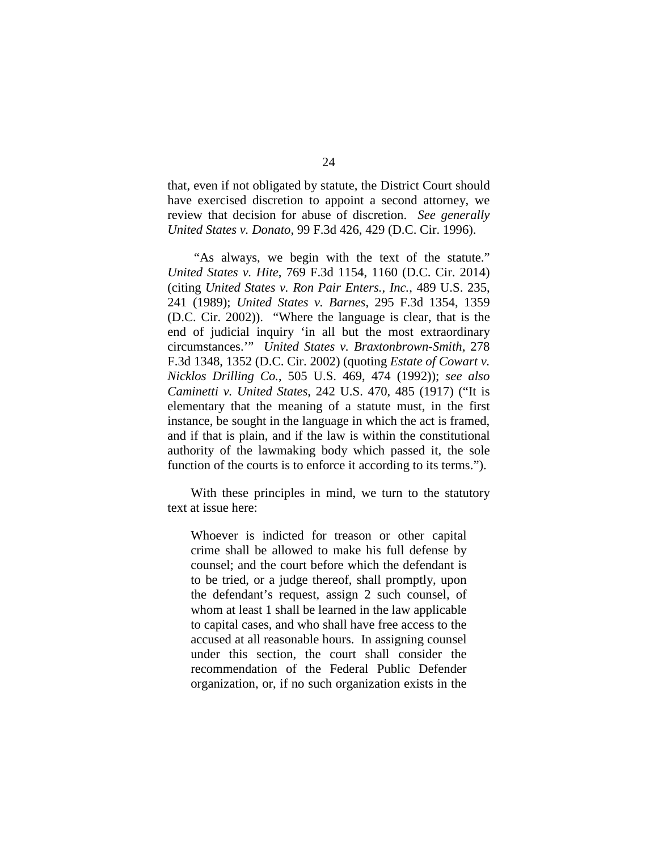that, even if not obligated by statute, the District Court should have exercised discretion to appoint a second attorney, we review that decision for abuse of discretion. *See generally United States v. Donato*, 99 F.3d 426, 429 (D.C. Cir. 1996).

"As always, we begin with the text of the statute." *United States v. Hite*, 769 F.3d 1154, 1160 (D.C. Cir. 2014) (citing *United States v. Ron Pair Enters., Inc.*, 489 U.S. 235, 241 (1989); *United States v. Barnes*, 295 F.3d 1354, 1359 (D.C. Cir. 2002)). "Where the language is clear, that is the end of judicial inquiry 'in all but the most extraordinary circumstances.'" *United States v. Braxtonbrown-Smith*, 278 F.3d 1348, 1352 (D.C. Cir. 2002) (quoting *Estate of Cowart v. Nicklos Drilling Co.*, 505 U.S. 469, 474 (1992)); *see also Caminetti v. United States*, 242 U.S. 470, 485 (1917) ("It is elementary that the meaning of a statute must, in the first instance, be sought in the language in which the act is framed, and if that is plain, and if the law is within the constitutional authority of the lawmaking body which passed it, the sole function of the courts is to enforce it according to its terms.").

With these principles in mind, we turn to the statutory text at issue here:

Whoever is indicted for treason or other capital crime shall be allowed to make his full defense by counsel; and the court before which the defendant is to be tried, or a judge thereof, shall promptly, upon the defendant's request, assign 2 such counsel, of whom at least 1 shall be learned in the law applicable to capital cases, and who shall have free access to the accused at all reasonable hours. In assigning counsel under this section, the court shall consider the recommendation of the Federal Public Defender organization, or, if no such organization exists in the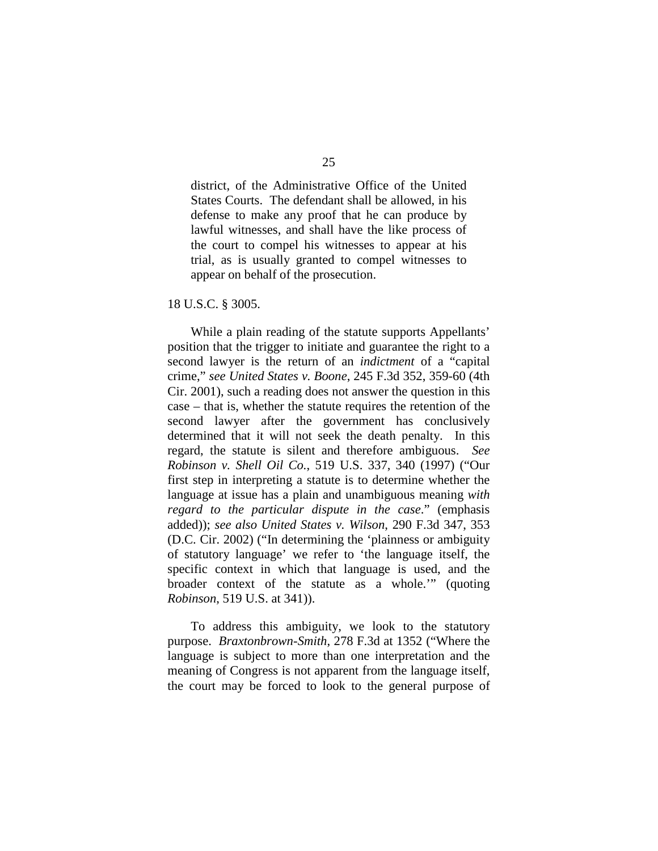district, of the Administrative Office of the United States Courts. The defendant shall be allowed, in his defense to make any proof that he can produce by lawful witnesses, and shall have the like process of the court to compel his witnesses to appear at his trial, as is usually granted to compel witnesses to appear on behalf of the prosecution.

#### 18 U.S.C. § 3005.

While a plain reading of the statute supports Appellants' position that the trigger to initiate and guarantee the right to a second lawyer is the return of an *indictment* of a "capital crime," *see United States v. Boone*, 245 F.3d 352, 359-60 (4th Cir. 2001), such a reading does not answer the question in this case – that is, whether the statute requires the retention of the second lawyer after the government has conclusively determined that it will not seek the death penalty. In this regard, the statute is silent and therefore ambiguous. *See Robinson v. Shell Oil Co.*, 519 U.S. 337, 340 (1997) ("Our first step in interpreting a statute is to determine whether the language at issue has a plain and unambiguous meaning *with regard to the particular dispute in the case*." (emphasis added)); *see also United States v. Wilson*, 290 F.3d 347, 353 (D.C. Cir. 2002) ("In determining the 'plainness or ambiguity of statutory language' we refer to 'the language itself, the specific context in which that language is used, and the broader context of the statute as a whole.'" (quoting *Robinson*, 519 U.S. at 341)).

To address this ambiguity, we look to the statutory purpose. *Braxtonbrown-Smith*, 278 F.3d at 1352 ("Where the language is subject to more than one interpretation and the meaning of Congress is not apparent from the language itself, the court may be forced to look to the general purpose of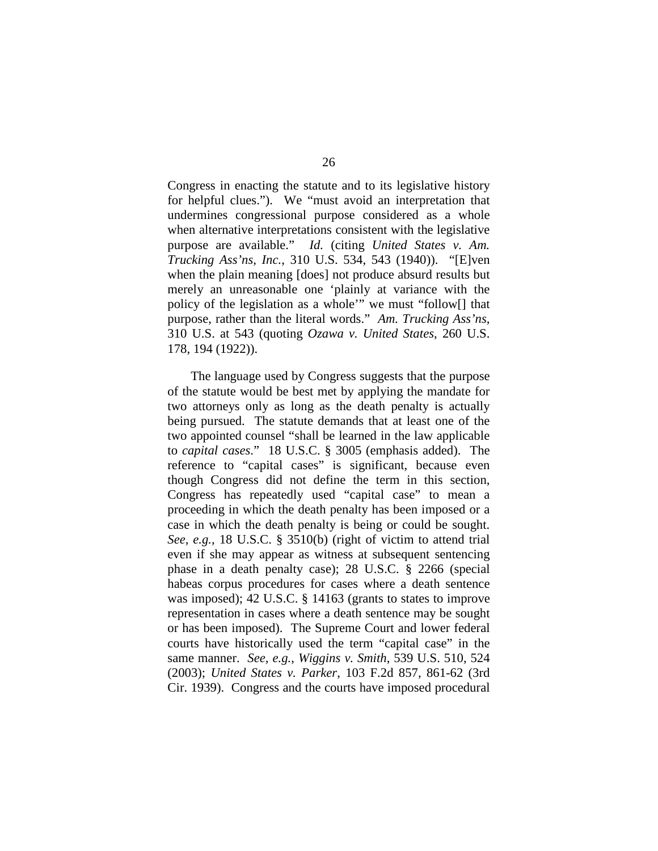Congress in enacting the statute and to its legislative history for helpful clues."). We "must avoid an interpretation that undermines congressional purpose considered as a whole when alternative interpretations consistent with the legislative purpose are available." *Id.* (citing *United States v. Am. Trucking Ass'ns, Inc.*, 310 U.S. 534, 543 (1940)). "[E]ven when the plain meaning [does] not produce absurd results but merely an unreasonable one 'plainly at variance with the policy of the legislation as a whole'" we must "follow[] that purpose, rather than the literal words." *Am. Trucking Ass'ns*, 310 U.S. at 543 (quoting *Ozawa v. United States*, 260 U.S. 178, 194 (1922)).

The language used by Congress suggests that the purpose of the statute would be best met by applying the mandate for two attorneys only as long as the death penalty is actually being pursued. The statute demands that at least one of the two appointed counsel "shall be learned in the law applicable to *capital cases*." 18 U.S.C. § 3005 (emphasis added). The reference to "capital cases" is significant, because even though Congress did not define the term in this section, Congress has repeatedly used "capital case" to mean a proceeding in which the death penalty has been imposed or a case in which the death penalty is being or could be sought. *See, e.g.*, 18 U.S.C. § 3510(b) (right of victim to attend trial even if she may appear as witness at subsequent sentencing phase in a death penalty case); 28 U.S.C. § 2266 (special habeas corpus procedures for cases where a death sentence was imposed); 42 U.S.C. § 14163 (grants to states to improve representation in cases where a death sentence may be sought or has been imposed). The Supreme Court and lower federal courts have historically used the term "capital case" in the same manner. *See, e.g.*, *Wiggins v. Smith*, 539 U.S. 510, 524 (2003); *United States v. Parker*, 103 F.2d 857, 861-62 (3rd Cir. 1939). Congress and the courts have imposed procedural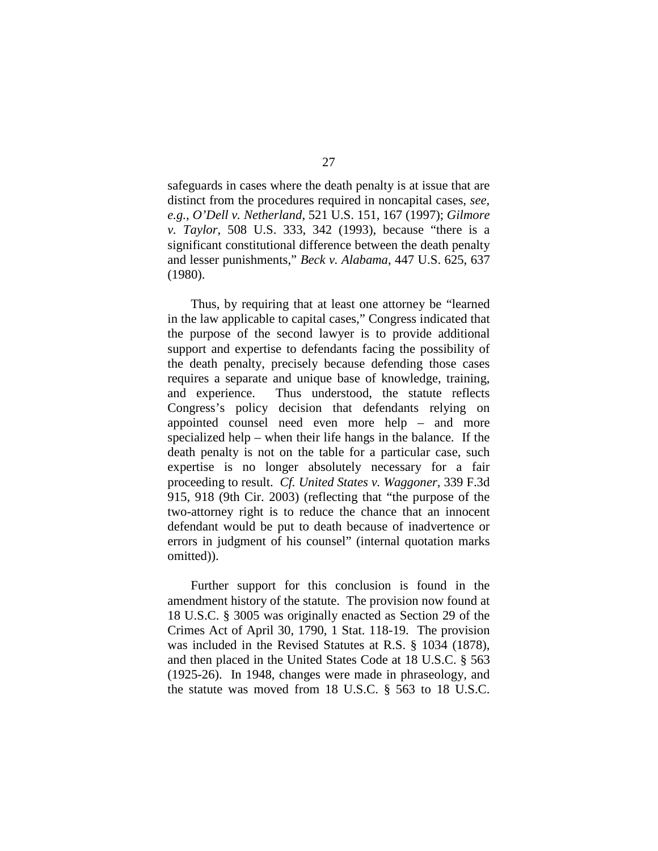safeguards in cases where the death penalty is at issue that are distinct from the procedures required in noncapital cases, *see, e.g.*, *O'Dell v. Netherland*, 521 U.S. 151, 167 (1997); *Gilmore v. Taylor*, 508 U.S. 333, 342 (1993), because "there is a significant constitutional difference between the death penalty and lesser punishments," *Beck v. Alabama*, 447 U.S. 625, 637 (1980).

Thus, by requiring that at least one attorney be "learned in the law applicable to capital cases," Congress indicated that the purpose of the second lawyer is to provide additional support and expertise to defendants facing the possibility of the death penalty, precisely because defending those cases requires a separate and unique base of knowledge, training, and experience. Thus understood, the statute reflects Congress's policy decision that defendants relying on appointed counsel need even more help – and more specialized help – when their life hangs in the balance. If the death penalty is not on the table for a particular case, such expertise is no longer absolutely necessary for a fair proceeding to result. *Cf. United States v. Waggoner,* 339 F.3d 915, 918 (9th Cir. 2003) (reflecting that "the purpose of the two-attorney right is to reduce the chance that an innocent defendant would be put to death because of inadvertence or errors in judgment of his counsel" (internal quotation marks omitted)).

Further support for this conclusion is found in the amendment history of the statute. The provision now found at 18 U.S.C. § 3005 was originally enacted as Section 29 of the Crimes Act of April 30, 1790, 1 Stat. 118-19. The provision was included in the Revised Statutes at R.S. § 1034 (1878), and then placed in the United States Code at 18 U.S.C. § 563 (1925-26). In 1948, changes were made in phraseology, and the statute was moved from 18 U.S.C. § 563 to 18 U.S.C.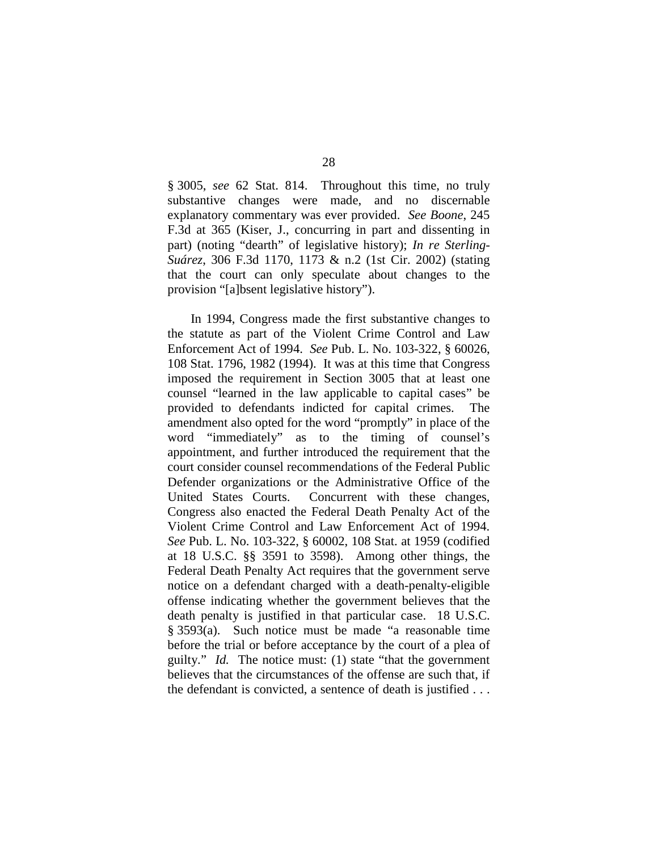§ 3005, *see* 62 Stat. 814. Throughout this time, no truly substantive changes were made, and no discernable explanatory commentary was ever provided. *See Boone*, 245 F.3d at 365 (Kiser, J., concurring in part and dissenting in part) (noting "dearth" of legislative history); *In re Sterling-Suárez*, 306 F.3d 1170, 1173 & n.2 (1st Cir. 2002) (stating that the court can only speculate about changes to the provision "[a]bsent legislative history").

In 1994, Congress made the first substantive changes to the statute as part of the Violent Crime Control and Law Enforcement Act of 1994. *See* Pub. L. No. 103-322, § 60026, 108 Stat. 1796, 1982 (1994). It was at this time that Congress imposed the requirement in Section 3005 that at least one counsel "learned in the law applicable to capital cases" be provided to defendants indicted for capital crimes. The amendment also opted for the word "promptly" in place of the word "immediately" as to the timing of counsel's appointment, and further introduced the requirement that the court consider counsel recommendations of the Federal Public Defender organizations or the Administrative Office of the United States Courts. Concurrent with these changes, Congress also enacted the Federal Death Penalty Act of the Violent Crime Control and Law Enforcement Act of 1994. *See* Pub. L. No. 103-322, § 60002, 108 Stat. at 1959 (codified at 18 U.S.C. §§ 3591 to 3598). Among other things, the Federal Death Penalty Act requires that the government serve notice on a defendant charged with a death-penalty-eligible offense indicating whether the government believes that the death penalty is justified in that particular case. 18 U.S.C. § 3593(a). Such notice must be made "a reasonable time before the trial or before acceptance by the court of a plea of guilty." *Id.* The notice must: (1) state "that the government believes that the circumstances of the offense are such that, if the defendant is convicted, a sentence of death is justified . . .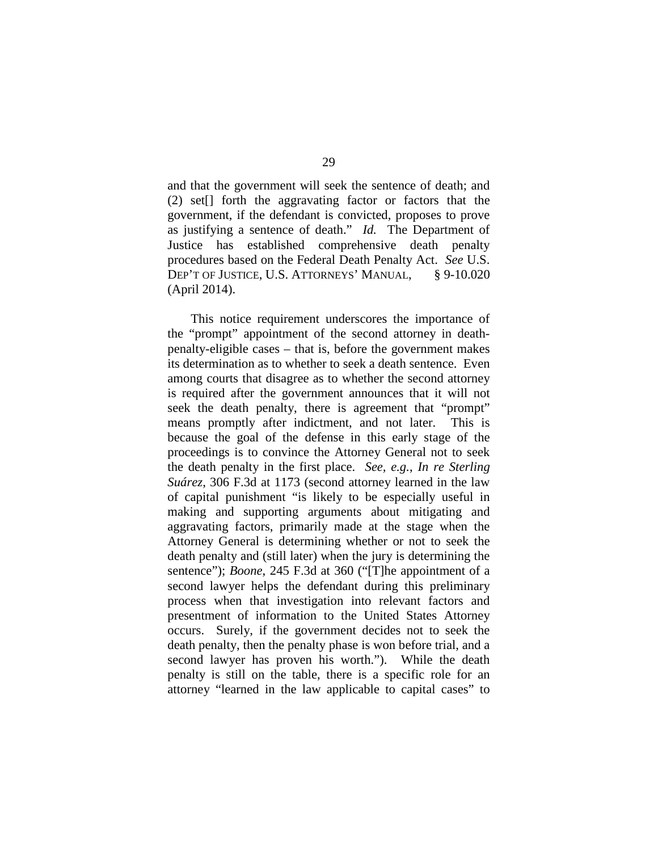and that the government will seek the sentence of death; and (2) set[] forth the aggravating factor or factors that the government, if the defendant is convicted, proposes to prove as justifying a sentence of death." *Id.* The Department of Justice has established comprehensive death penalty procedures based on the Federal Death Penalty Act. *See* U.S. DEP'T OF JUSTICE, U.S. ATTORNEYS' MANUAL, § 9-10.020 (April 2014).

This notice requirement underscores the importance of the "prompt" appointment of the second attorney in deathpenalty-eligible cases – that is, before the government makes its determination as to whether to seek a death sentence. Even among courts that disagree as to whether the second attorney is required after the government announces that it will not seek the death penalty, there is agreement that "prompt" means promptly after indictment, and not later. This is because the goal of the defense in this early stage of the proceedings is to convince the Attorney General not to seek the death penalty in the first place. *See, e.g.*, *In re Sterling Suárez*, 306 F.3d at 1173 (second attorney learned in the law of capital punishment "is likely to be especially useful in making and supporting arguments about mitigating and aggravating factors, primarily made at the stage when the Attorney General is determining whether or not to seek the death penalty and (still later) when the jury is determining the sentence"); *Boone*, 245 F.3d at 360 ("[T]he appointment of a second lawyer helps the defendant during this preliminary process when that investigation into relevant factors and presentment of information to the United States Attorney occurs. Surely, if the government decides not to seek the death penalty, then the penalty phase is won before trial, and a second lawyer has proven his worth."). While the death penalty is still on the table, there is a specific role for an attorney "learned in the law applicable to capital cases" to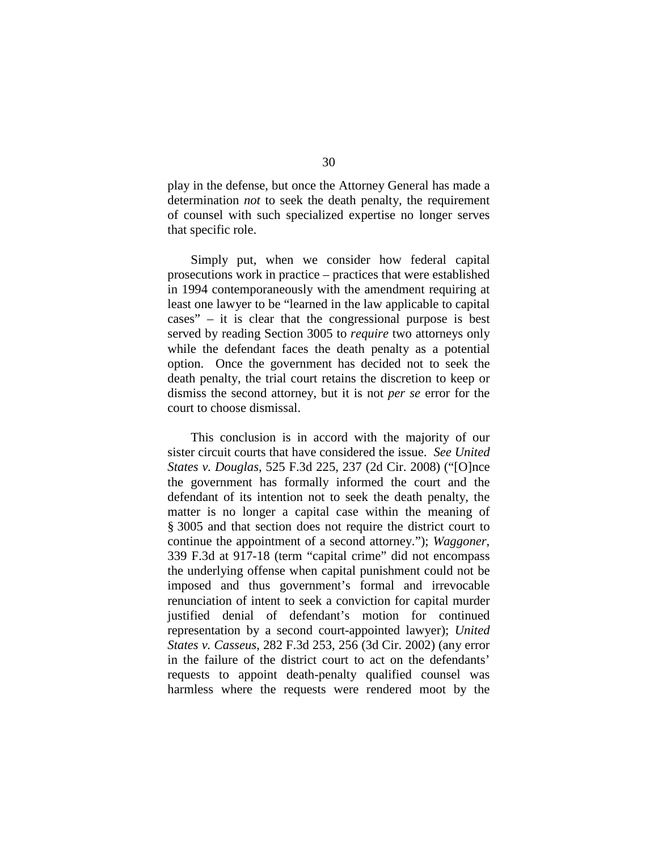play in the defense, but once the Attorney General has made a determination *not* to seek the death penalty, the requirement of counsel with such specialized expertise no longer serves that specific role.

Simply put, when we consider how federal capital prosecutions work in practice – practices that were established in 1994 contemporaneously with the amendment requiring at least one lawyer to be "learned in the law applicable to capital cases" – it is clear that the congressional purpose is best served by reading Section 3005 to *require* two attorneys only while the defendant faces the death penalty as a potential option. Once the government has decided not to seek the death penalty, the trial court retains the discretion to keep or dismiss the second attorney, but it is not *per se* error for the court to choose dismissal.

This conclusion is in accord with the majority of our sister circuit courts that have considered the issue. *See United States v. Douglas*, 525 F.3d 225, 237 (2d Cir. 2008) ("[O]nce the government has formally informed the court and the defendant of its intention not to seek the death penalty, the matter is no longer a capital case within the meaning of § 3005 and that section does not require the district court to continue the appointment of a second attorney."); *Waggoner*, 339 F.3d at 917-18 (term "capital crime" did not encompass the underlying offense when capital punishment could not be imposed and thus government's formal and irrevocable renunciation of intent to seek a conviction for capital murder justified denial of defendant's motion for continued representation by a second court-appointed lawyer); *United States v. Casseus*, 282 F.3d 253, 256 (3d Cir. 2002) (any error in the failure of the district court to act on the defendants' requests to appoint death-penalty qualified counsel was harmless where the requests were rendered moot by the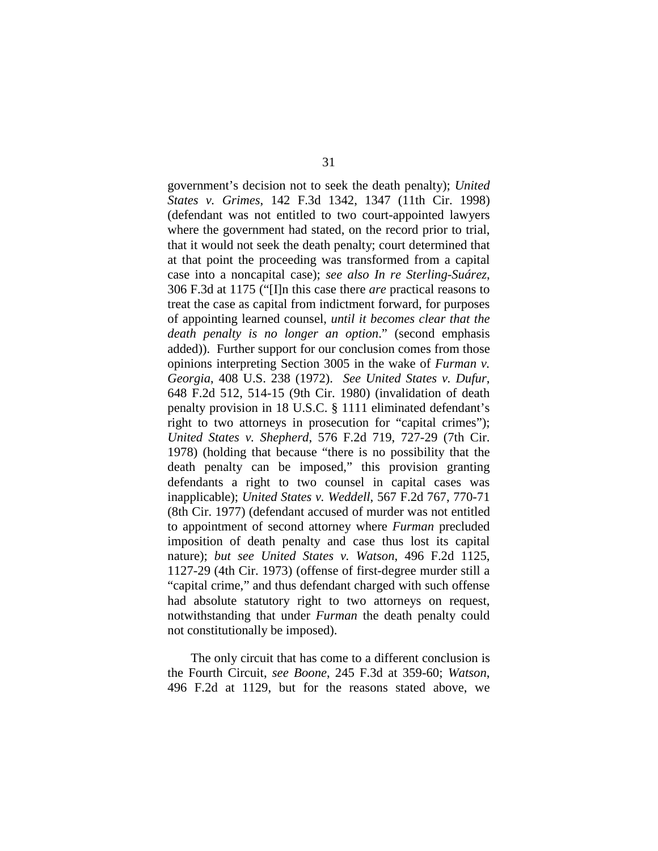government's decision not to seek the death penalty); *United States v. Grimes*, 142 F.3d 1342, 1347 (11th Cir. 1998) (defendant was not entitled to two court-appointed lawyers where the government had stated, on the record prior to trial, that it would not seek the death penalty; court determined that at that point the proceeding was transformed from a capital case into a noncapital case); *see also In re Sterling-Suárez*, 306 F.3d at 1175 ("[I]n this case there *are* practical reasons to treat the case as capital from indictment forward, for purposes of appointing learned counsel, *until it becomes clear that the death penalty is no longer an option*." (second emphasis added)). Further support for our conclusion comes from those opinions interpreting Section 3005 in the wake of *Furman v. Georgia*, 408 U.S. 238 (1972). *See United States v. Dufur*, 648 F.2d 512, 514-15 (9th Cir. 1980) (invalidation of death penalty provision in 18 U.S.C. § 1111 eliminated defendant's right to two attorneys in prosecution for "capital crimes"); *United States v. Shepherd*, 576 F.2d 719, 727-29 (7th Cir. 1978) (holding that because "there is no possibility that the death penalty can be imposed," this provision granting defendants a right to two counsel in capital cases was inapplicable); *United States v. Weddell*, 567 F.2d 767, 770-71 (8th Cir. 1977) (defendant accused of murder was not entitled to appointment of second attorney where *Furman* precluded imposition of death penalty and case thus lost its capital nature); *but see United States v. Watson*, 496 F.2d 1125, 1127-29 (4th Cir. 1973) (offense of first-degree murder still a "capital crime," and thus defendant charged with such offense had absolute statutory right to two attorneys on request, notwithstanding that under *Furman* the death penalty could not constitutionally be imposed).

The only circuit that has come to a different conclusion is the Fourth Circuit, *see Boone*, 245 F.3d at 359-60; *Watson*, 496 F.2d at 1129, but for the reasons stated above, we